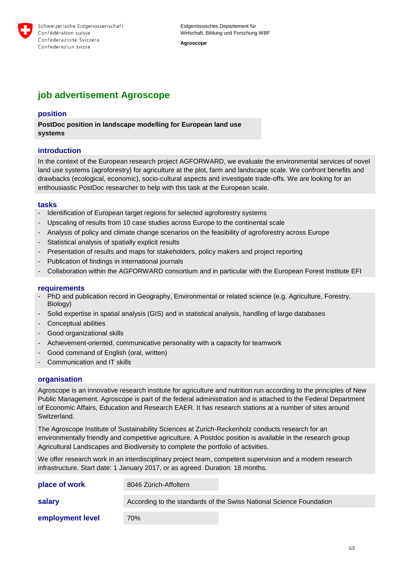

Eidgenössisches Departement für Wirtschaft, Bildung und Forschung WBF

**Agroscope** 

# **job advertisement Agroscope**

# **position**

**PostDoc position in landscape modelling for European land use systems**

# **introduction**

In the context of the European research project AGFORWARD, we evaluate the environmental services of novel land use systems (agroforestry) for agriculture at the plot, farm and landscape scale. We confront benefits and drawbacks (ecological, economic), socio-cultural aspects and investigate trade-offs. We are looking for an enthousiastic PostDoc researcher to help with this task at the European scale.

#### **tasks**

- Identification of European target regions for selected agroforestry systems
- Upscaling of results from 10 case studies across Europe to the continental scale
- Analysis of policy and climate change scenarios on the feasibility of agroforestry across Europe
- Statistical analysis of spatially explicit results
- Presentation of results and maps for stakeholders, policy makers and project reporting
- Publication of findings in international journals
- Collaboration within the AGFORWARD consortium and in particular with the European Forest Institute EFI

### **requirements**

- PhD and publication record in Geography, Environmental or related science (e.g. Agriculture, Forestry, Biology)
- Solid expertise in spatial analysis (GIS) and in statistical analysis, handling of large databases
- Conceptual abilities
- Good organizational skills
- Achievement-oriented, communicative personality with a capacity for teamwork
- Good command of English (oral, written)
- Communication and IT skills

#### **organisation**

Agroscope is an innovative research institute for agriculture and nutrition run according to the principles of New Public Management. Agroscope is part of the federal administration and is attached to the Federal Department of Economic Affairs, Education and Research EAER. It has research stations at a number of sites around Switzerland.

The Agroscope Institute of Sustainability Sciences at Zurich-Reckenholz conducts research for an environmentally friendly and competitive agriculture. A Postdoc position is available in the research group Agricultural Landscapes and Biodiversity to complete the portfolio of activities.

We offer research work in an interdisciplinary project team, competent supervision and a modern research infrastructure. Start date: 1 January 2017, or as agreed. Duration: 18 months.

| place of work    | 8046 Zürich-Affoltern                                               |
|------------------|---------------------------------------------------------------------|
| salary           | According to the standards of the Swiss National Science Foundation |
| employment level | 70%                                                                 |